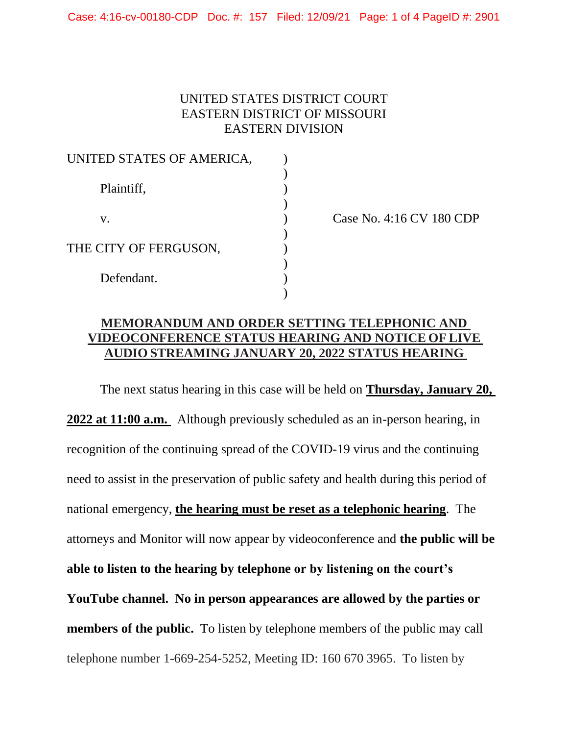Case: 4:16-cv-00180-CDP Doc. #: 157 Filed: 12/09/21 Page: 1 of 4 PageID #: 2901

## UNITED STATES DISTRICT COURT EASTERN DISTRICT OF MISSOURI EASTERN DIVISION

| UNITED STATES OF AMERICA, |  |
|---------------------------|--|
| Plaintiff,                |  |
| V.                        |  |
| THE CITY OF FERGUSON,     |  |
| Defendant.                |  |

Case No. 4:16 CV 180 CDP

## **MEMORANDUM AND ORDER SETTING TELEPHONIC AND VIDEOCONFERENCE STATUS HEARING AND NOTICE OF LIVE AUDIO STREAMING JANUARY 20, 2022 STATUS HEARING**

The next status hearing in this case will be held on **Thursday, January 20, 2022 at 11:00 a.m.** Although previously scheduled as an in-person hearing, in recognition of the continuing spread of the COVID-19 virus and the continuing need to assist in the preservation of public safety and health during this period of national emergency, **the hearing must be reset as a telephonic hearing**. The attorneys and Monitor will now appear by videoconference and **the public will be able to listen to the hearing by telephone or by listening on the court's YouTube channel. No in person appearances are allowed by the parties or members of the public.** To listen by telephone members of the public may call telephone number 1-669-254-5252, Meeting ID: 160 670 3965. To listen by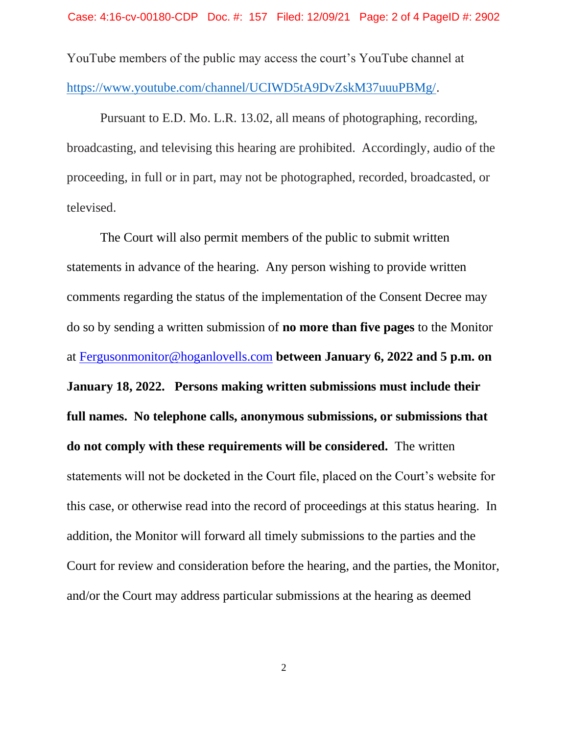YouTube members of the public may access the court's YouTube channel at [https://www.youtube.com/channel/UCIWD5tA9DvZskM37uuuPBMg/.](https://www.youtube.com/channel/UCIWD5tA9DvZskM37uuuPBMg/)

Pursuant to E.D. Mo. L.R. 13.02, all means of photographing, recording, broadcasting, and televising this hearing are prohibited. Accordingly, audio of the proceeding, in full or in part, may not be photographed, recorded, broadcasted, or televised.

The Court will also permit members of the public to submit written statements in advance of the hearing. Any person wishing to provide written comments regarding the status of the implementation of the Consent Decree may do so by sending a written submission of **no more than five pages** to the Monitor at [Fergusonmonitor@hoganlovells.com](mailto:Fergusonmonitor@hoganlovells.com) **between January 6, 2022 and 5 p.m. on January 18, 2022. Persons making written submissions must include their full names. No telephone calls, anonymous submissions, or submissions that do not comply with these requirements will be considered.** The written statements will not be docketed in the Court file, placed on the Court's website for this case, or otherwise read into the record of proceedings at this status hearing. In addition, the Monitor will forward all timely submissions to the parties and the Court for review and consideration before the hearing, and the parties, the Monitor, and/or the Court may address particular submissions at the hearing as deemed

2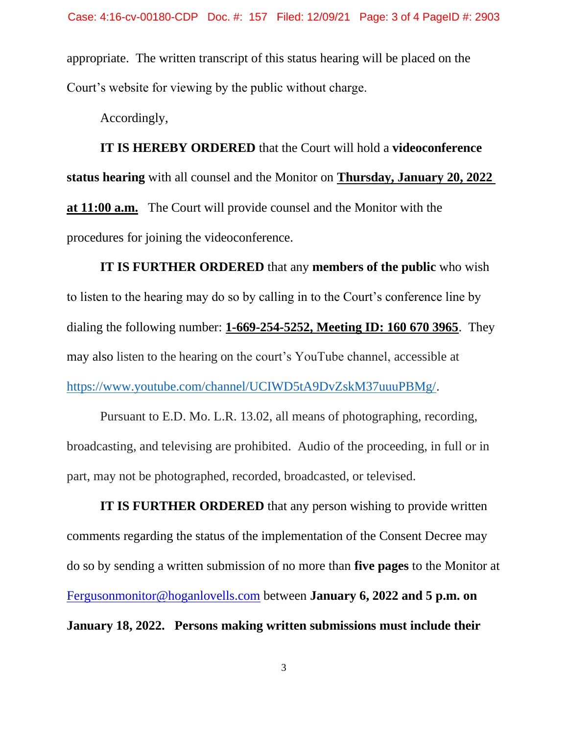appropriate. The written transcript of this status hearing will be placed on the Court's website for viewing by the public without charge.

Accordingly,

**IT IS HEREBY ORDERED** that the Court will hold a **videoconference status hearing** with all counsel and the Monitor on **Thursday, January 20, 2022 at 11:00 a.m.** The Court will provide counsel and the Monitor with the procedures for joining the videoconference.

**IT IS FURTHER ORDERED** that any **members of the public** who wish to listen to the hearing may do so by calling in to the Court's conference line by dialing the following number: **1-669-254-5252, Meeting ID: 160 670 3965**. They may also listen to the hearing on the court's YouTube channel, accessible at [https://www.youtube.com/channel/UCIWD5tA9DvZskM37uuuPBMg/.](https://www.youtube.com/channel/UCIWD5tA9DvZskM37uuuPBMg/)

Pursuant to E.D. Mo. L.R. 13.02, all means of photographing, recording, broadcasting, and televising are prohibited. Audio of the proceeding, in full or in part, may not be photographed, recorded, broadcasted, or televised.

**IT IS FURTHER ORDERED** that any person wishing to provide written comments regarding the status of the implementation of the Consent Decree may do so by sending a written submission of no more than **five pages** to the Monitor at [Fergusonmonitor@hoganlovells.com](mailto:Fergusonmonitor@hoganlovells.com) between **January 6, 2022 and 5 p.m. on January 18, 2022. Persons making written submissions must include their**